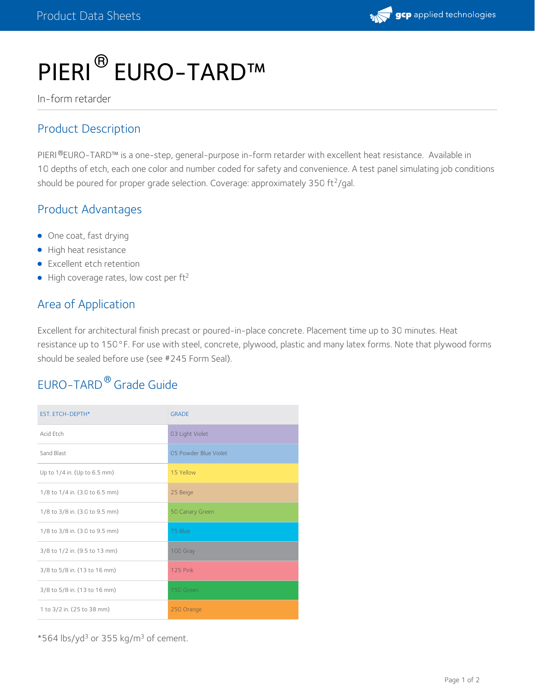# PIERI<sup>®</sup> EURO-TARD™

In-form retarder

#### Product Description

PIERI®EURO-TARD™ is a one-step, general-purpose in-form retarder with excellent heat resistance. Available in 10 depths of etch, each one color and number coded for safety and convenience. A test panel simulating job conditions should be poured for proper grade selection. Coverage: approximately 350 ft<sup>2</sup>/gal.

#### Product Advantages

- One coat, fast drying
- High heat resistance
- **•** Excellent etch retention
- $\bullet$  High coverage rates, low cost per ft<sup>2</sup>

#### Area of Application

Excellent for architectural finish precast or poured-in-place concrete. Placement time up to 30 minutes. Heat resistance up to 150°F. For use with steel, concrete, plywood, plastic and many latex forms. Note that plywood forms should be sealed before use (see #245 Form Seal).

## EURO-TARD<sup>®</sup> Grade Guide

| <b>EST. ETCH-DEPTH*</b>        | <b>GRADE</b>          |
|--------------------------------|-----------------------|
| Acid Etch                      | 03 Light Violet       |
| Sand Blast                     | 05 Powder Blue Violet |
| Up to 1/4 in. (Up to 6.5 mm)   | 15 Yellow             |
| 1/8 to 1/4 in. (3.0 to 6.5 mm) | 25 Beige              |
| 1/8 to 3/8 in. (3.0 to 9.5 mm) | 50 Canary Green       |
| 1/8 to 3/8 in. (3.0 to 9.5 mm) | 75 Blue               |
| 3/8 to 1/2 in. (9.5 to 13 mm)  | 100 Gray              |
| 3/8 to 5/8 in. (13 to 16 mm)   | <b>125 Pink</b>       |
| 3/8 to 5/8 in. (13 to 16 mm)   | 150 Green             |
| 1 to 3/2 in. (25 to 38 mm)     | 250 Orange            |

 $*$ 564 lbs/yd $^3$  or 355 kg/m $^3$  of cement.